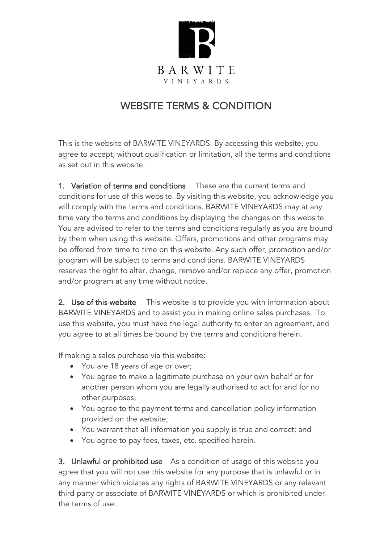

## WEBSITE TERMS & CONDITION

This is the website of BARWITE VINEYARDS. By accessing this website, you agree to accept, without qualification or limitation, all the terms and conditions as set out in this website.

1. Variation of terms and conditions These are the current terms and conditions for use of this website. By visiting this website, you acknowledge you will comply with the terms and conditions. BARWITE VINEYARDS may at any time vary the terms and conditions by displaying the changes on this website. You are advised to refer to the terms and conditions regularly as you are bound by them when using this website. Offers, promotions and other programs may be offered from time to time on this website. Any such offer, promotion and/or program will be subject to terms and conditions. BARWITE VINEYARDS reserves the right to alter, change, remove and/or replace any offer, promotion and/or program at any time without notice.

2. Use of this website This website is to provide you with information about BARWITE VINEYARDS and to assist you in making online sales purchases. To use this website, you must have the legal authority to enter an agreement, and you agree to at all times be bound by the terms and conditions herein.

If making a sales purchase via this website:

- You are 18 years of age or over;
- You agree to make a legitimate purchase on your own behalf or for another person whom you are legally authorised to act for and for no other purposes;
- You agree to the payment terms and cancellation policy information provided on the website;
- You warrant that all information you supply is true and correct; and
- You agree to pay fees, taxes, etc. specified herein.

3. Unlawful or prohibited use As a condition of usage of this website you agree that you will not use this website for any purpose that is unlawful or in any manner which violates any rights of BARWITE VINEYARDS or any relevant third party or associate of BARWITE VINEYARDS or which is prohibited under the terms of use.